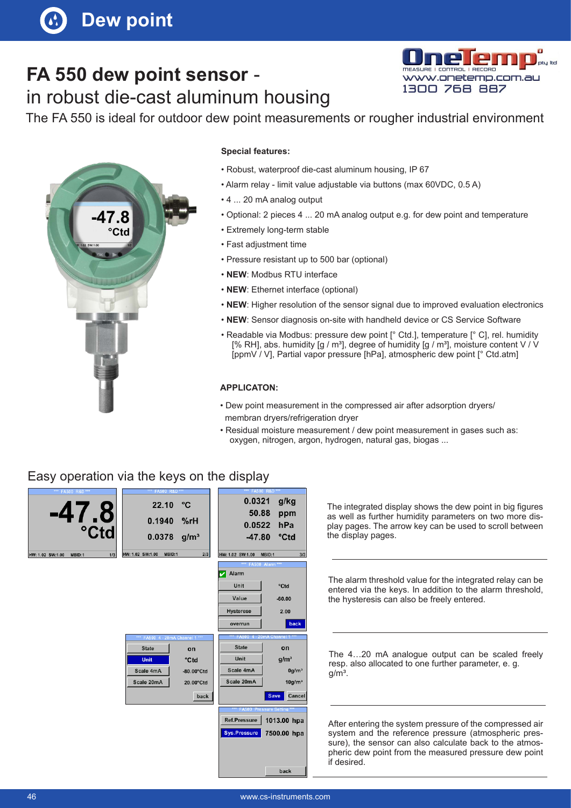# **FA 550 dew point sensor** -

## in robust die-cast aluminum housing



The FA 550 is ideal for outdoor dew point measurements or rougher industrial environment



#### **Special features:**

- Robust, waterproof die-cast aluminum housing, IP 67
- Alarm relay limit value adjustable via buttons (max 60VDC, 0.5 A)
- 4 ... 20 mA analog output
- Optional: 2 pieces 4 ... 20 mA analog output e.g. for dew point and temperature
- Extremely long-term stable
- Fast adjustment time
- Pressure resistant up to 500 bar (optional)
- **NEW**: Modbus RTU interface
- **NEW**: Ethernet interface (optional)
- **NEW**: Higher resolution of the sensor signal due to improved evaluation electronics
- **NEW**: Sensor diagnosis on-site with handheld device or CS Service Software
- Readable via Modbus: pressure dew point [° Ctd.], temperature [° C], rel. humidity [% RH], abs. humidity [g / m<sup>3</sup>], degree of humidity [g / m<sup>3</sup>], moisture content V / V [ppmV / V], Partial vapor pressure [hPa], atmospheric dew point [° Ctd.atm]

#### **APPLICATON:**

- Dew point measurement in the compressed air after adsorption dryers/ membran dryers/refrigeration dryer
- Residual moisture measurement / dew point measurement in gases such as: oxygen, nitrogen, argon, hydrogen, natural gas, biogas ...

### Easy operation via the keys on the display



The integrated display shows the dew point in big figures as well as further humidity parameters on two more display pages. The arrow key can be used to scroll between the display pages.

The alarm threshold value for the integrated relay can be entered via the keys. In addition to the alarm threshold, the hysteresis can also be freely entered.

The 4…20 mA analogue output can be scaled freely resp. also allocated to one further parameter, e. g.  $q/m<sup>3</sup>$ .

After entering the system pressure of the compressed air system and the reference pressure (atmospheric pressure), the sensor can also calculate back to the atmospheric dew point from the measured pressure dew point if desired.

back